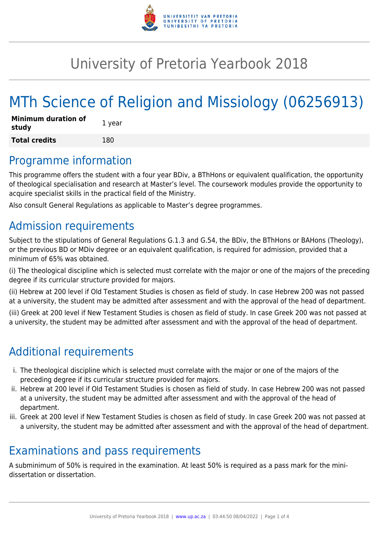

## University of Pretoria Yearbook 2018

# MTh Science of Religion and Missiology (06256913)

| <b>Minimum duration of</b><br>study | 1 year |
|-------------------------------------|--------|
| <b>Total credits</b>                | 180    |

### Programme information

This programme offers the student with a four year BDiv, a BThHons or equivalent qualification, the opportunity of theological specialisation and research at Master's level. The coursework modules provide the opportunity to acquire specialist skills in the practical field of the Ministry.

Also consult General Regulations as applicable to Master's degree programmes.

### Admission requirements

Subject to the stipulations of General Regulations G.1.3 and G.54, the BDiv, the BThHons or BAHons (Theology), or the previous BD or MDiv degree or an equivalent qualification, is required for admission, provided that a minimum of 65% was obtained.

(i) The theological discipline which is selected must correlate with the major or one of the majors of the preceding degree if its curricular structure provided for majors.

(ii) Hebrew at 200 level if Old Testament Studies is chosen as field of study. In case Hebrew 200 was not passed at a university, the student may be admitted after assessment and with the approval of the head of department.

(iii) Greek at 200 level if New Testament Studies is chosen as field of study. In case Greek 200 was not passed at a university, the student may be admitted after assessment and with the approval of the head of department.

## Additional requirements

- i. The theological discipline which is selected must correlate with the major or one of the majors of the preceding degree if its curricular structure provided for majors.
- ii. Hebrew at 200 level if Old Testament Studies is chosen as field of study. In case Hebrew 200 was not passed at a university, the student may be admitted after assessment and with the approval of the head of department.
- iii. Greek at 200 level if New Testament Studies is chosen as field of study. In case Greek 200 was not passed at a university, the student may be admitted after assessment and with the approval of the head of department.

### Examinations and pass requirements

A subminimum of 50% is required in the examination. At least 50% is required as a pass mark for the minidissertation or dissertation.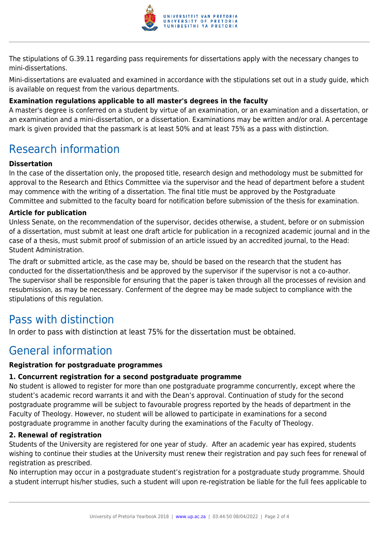

The stipulations of G.39.11 regarding pass requirements for dissertations apply with the necessary changes to mini-dissertations.

Mini-dissertations are evaluated and examined in accordance with the stipulations set out in a study guide, which is available on request from the various departments.

#### **Examination regulations applicable to all master's degrees in the faculty**

A master's degree is conferred on a student by virtue of an examination, or an examination and a dissertation, or an examination and a mini-dissertation, or a dissertation. Examinations may be written and/or oral. A percentage mark is given provided that the passmark is at least 50% and at least 75% as a pass with distinction.

### Research information

#### **Dissertation**

In the case of the dissertation only, the proposed title, research design and methodology must be submitted for approval to the Research and Ethics Committee via the supervisor and the head of department before a student may commence with the writing of a dissertation. The final title must be approved by the Postgraduate Committee and submitted to the faculty board for notification before submission of the thesis for examination.

#### **Article for publication**

Unless Senate, on the recommendation of the supervisor, decides otherwise, a student, before or on submission of a dissertation, must submit at least one draft article for publication in a recognized academic journal and in the case of a thesis, must submit proof of submission of an article issued by an accredited journal, to the Head: Student Administration.

The draft or submitted article, as the case may be, should be based on the research that the student has conducted for the dissertation/thesis and be approved by the supervisor if the supervisor is not a co-author. The supervisor shall be responsible for ensuring that the paper is taken through all the processes of revision and resubmission, as may be necessary. Conferment of the degree may be made subject to compliance with the stipulations of this regulation.

### Pass with distinction

In order to pass with distinction at least 75% for the dissertation must be obtained.

### General information

#### **Registration for postgraduate programmes**

#### **1. Concurrent registration for a second postgraduate programme**

No student is allowed to register for more than one postgraduate programme concurrently, except where the student's academic record warrants it and with the Dean's approval. Continuation of study for the second postgraduate programme will be subject to favourable progress reported by the heads of department in the Faculty of Theology. However, no student will be allowed to participate in examinations for a second postgraduate programme in another faculty during the examinations of the Faculty of Theology.

#### **2. Renewal of registration**

Students of the University are registered for one year of study. After an academic year has expired, students wishing to continue their studies at the University must renew their registration and pay such fees for renewal of registration as prescribed.

No interruption may occur in a postgraduate student's registration for a postgraduate study programme. Should a student interrupt his/her studies, such a student will upon re-registration be liable for the full fees applicable to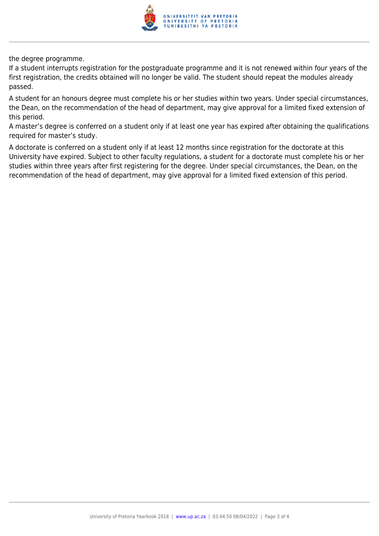

the degree programme.

If a student interrupts registration for the postgraduate programme and it is not renewed within four years of the first registration, the credits obtained will no longer be valid. The student should repeat the modules already passed.

A student for an honours degree must complete his or her studies within two years. Under special circumstances, the Dean, on the recommendation of the head of department, may give approval for a limited fixed extension of this period.

A master's degree is conferred on a student only if at least one year has expired after obtaining the qualifications required for master's study.

A doctorate is conferred on a student only if at least 12 months since registration for the doctorate at this University have expired. Subject to other faculty regulations, a student for a doctorate must complete his or her studies within three years after first registering for the degree. Under special circumstances, the Dean, on the recommendation of the head of department, may give approval for a limited fixed extension of this period.